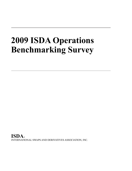# **2009 ISDA Operations Benchmarking Survey**

**ISDA**® INTERNATIONAL SWAPS AND DERIVATIVES ASSOCIATION, INC.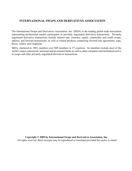# **INTERNATIONAL SWAPS AND DERIVATIVES ASSOCIATION**

The International Swaps and Derivatives Association, Inc. (ISDA) is the leading global trade association representing professional market participants in privately negotiated derivative transactions. Privately negotiated derivative transactions include interest rate, currency, equity, commodity and credit swaps, options, and forward transactions, as well as related products comprising forward rate agreements, caps, floors, collars, and swaptions.

ISDA, chartered in 1985, numbers over 800 members in 57 countries. Its members include most of the world's major commercial, universal and investment banks as well as other companies and institutions active in swaps and other privately negotiated derivatives transactions.

**Copyright © 2009 by International Swaps and Derivatives Association, Inc.** All rights reserved. Brief excerpts may be reproduced or translated provided the source is stated.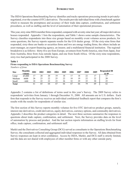# **INTRODUCTION**

The ISDA Operations Benchmarking Survey identifies and tracks operations processing trends in privatelynegotiated, over-the-counter (OTC) derivatives. The results provide individual firms with a benchmark against which to measure the promptness and accuracy of their trade data capture, confirmation, and settlement procedures, as well as staffing and the level of automation of their operational processes.

This year, sixty-nine ISDA member firms responded, compared with seventy-nine last year; all major derivatives houses responded. Appendix 1 lists the respondents, and Table 1 shows some sample characteristics. The Survey classifies respondents into three size groups based on monthly event volumes across products; for some questions, the Survey reports separate results for the G16 dealer group. Of the sixty-nine firms that responded, sixty-three are banks or securities firms and two are energy trading firms; the others include an asset manager, an export financing agency, an insurer, and a multilateral financial institution. The regional breakdown is as follows: thirty-five are from Europe, seventeen from North America, nine from Japan, four from Australia, three from Asia outside Japan, and one from South Africa. Of the sixty-nine respondents, sixty-two had participated in the 2008 Survey.

## **Table 1**

#### **Firms responding to ISDA Operations Benchmarking Survey** *Numbers of firms*

| <b>Size</b>  | Monthly<br>volume | 2001 | 2002 | 2003     | 2004 | 2005 | 2006 | 2007 | 2008 | 2009     | <b>Responded 08</b><br>& 09 |
|--------------|-------------------|------|------|----------|------|------|------|------|------|----------|-----------------------------|
| Large        | ≥5,000            |      | 20   | 20       |      |      |      | 18   | າາ   |          |                             |
| Medium       | ≥600              | 26   | 23   | つつ<br>∠∠ | 25   | 22   | 18   | 19   | າາ   | າາ<br>∠∠ | 20                          |
| Small        | $<$ 600           | 18   | 22   | າາ       | 23   | 26   | 32   | 29   |      | 30       | 25                          |
| <b>Total</b> |                   | 61   |      | 64       | 67   | 66   |      | 66   | 79   | 69       | 62                          |

Appendix 2 contains a list of definitions of terms used in this year's Survey. The 2009 Survey refers to respondents' activities from January 1 through December 31, 2008. All amounts are in U.S. dollars. Each firm that responds to the Survey receives an individual confidential feedback report that compares the firm's results with the results for respondents of similar size.

The first section of this Survey reports monthly volumes for five OTC derivatives product groups, namely, interest rate derivatives, credit derivatives, equity derivatives, currency options, and commodity derivatives; Appendix 2 describes the product categories in detail. The next three sections summarize the responses to questions about trade capture, confirmation, and settlement. Next, the Survey provides data on the level of automation by process and product. And the last section reports information on staffing levels for front office, trade capture, confirmation, and settlement staff.

Markit and the Derivatives Consulting Group (DCG) served as consultants to the Operations Benchmarking Survey; the consultants collected and aggregated individual responses to the Survey. All data obtained from Survey responses are kept in strict confidence. Access by ISDA, Markit, and DCG staff is strictly limited, and the data are not shared with employees of other member firms or with any other outside party.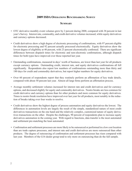# **2009 ISDA Operations Benchmarking Survey**

# **Summary**

- OTC derivative monthly event volumes grew by 2 percent during 2008, compared with 38 percent in last year's Survey. Interest rate, commodity, and credit derivative volumes increased, while equity derivatives and currency options decreased.
- Credit derivatives show a high degree of electronic processing of confirmations, with 97 percent eligible for electronic processing and 92 percent actually processed electronically. Equity derivatives show the lowest degree of eligibility at 40 percent, with 23 percent electronically confirmed. There are significant differences between dispatch times for electronic and non-electronic confirmations, although dispatch times for both types have improved over those reported last year.
- Outstanding confirmations, measured in days' worth of business, are lower than last year for all products except currency options. Outstanding credit, interest rate, and equity derivatives confirmations all fell significantly. Respondents also report low numbers of confirmations outstanding more than thirty and 180 days for credit and commodity derivatives, but report higher numbers for equity derivatives.
- Over 60 percent of respondents report that they routinely perform an affirmation of key trade details, compared with about 50 percent last year. Almost all large firms perform an affirmation process.
- Average monthly settlement volumes increased for interest rate and credit derivatives and for currency options, and decreased slightly for equity and commodity derivatives. Nostro breaks are less common for credit derivative and currency options than for other products and more common for equity derivatives. Times to nostro break resolution have improved over last year for all products, most notably in the reduction of breaks taking over four weeks to resolve.
- Credit derivatives show the highest degree of process automation and equity derivatives the lowest. The differences in automation levels are largely the result of the simple, standardized nature of most credit derivatives transactions on the one hand and the relatively complex, customized nature of equity derivatives transactions on the other. Despite the challenges, 90 percent of respondents plan to increase equity derivatives automation in the coming year. With regard to functions, data transfer is the most automated and settlement pre-matching the least automated.
- Confirmation and settlement processes are more likely to be outsourced or performed in a low cost location than are trade capture processes, and interest rate and credit derivaitves are more outsourced than other products. The degree of outsourcing of confirmation and settlement processes has risen compared with last year. Members of the G16 dealer group tend to rely more on outsourcing than do the full sample.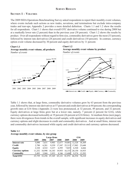# **Survey Results**

# **Section 1 – Volumes**

The 2009 ISDA Operations Benchmarking Survey asked respondents to report their monthly event volumes, where events include such actions as new trades, novations, and terminations but exclude intra-company trades and tear-ups; Appendix 2 provides a more detailed definition. Charts 1.1 and 1.2 show the results for all respondents. Chart 1.1 shows that overall OTC derivative volume continued to rise during 2008 but at a markedly lower rate (2 percent) than in the previous year (38 percent). Chart 1.2 shows the results by product. Over all respondents without regard to firm size, commodity derivatives grew the most (33 percent), followed by interest rate derivatives (28 percent) and credit derivatives (10 percent). In contrast, currency option event volume decreased by 30 percent and equity derivatives by 11 percent.

#### **Chart 1.1**





## **Chart 1.2 Average monthly event volume by product** *Number of events*



 $\rightarrow$  Interest rate  $\rightarrow$  Credit  $\rightarrow$  Equity  $\rightarrow$  Currency  $\rightarrow$  Commodity

Table 1.1 shows that, at large firms, commodity derivative volumes grew by 63 percent from the previous year, followed by interest rate derivatives at 57 percent and credit derivatives at 44 percent; the corresponding growth rates at G16 firms (Appendix 2) were less pronounced, at 32 percent, 49 percent, and 32 percent. Equity derivatives at large firms grew but at a lower rate, namely, 7 percent (2 percent for G16), while currency options decreased noticeably at 19 percent (26 percent at G16 firms). At medium firms (next page), there were divergences from trends in the overall sample, with significant increases in equity derivatives and currency options and slight decreases in credit and commodity derivatives. And at small firms, interest rate and commodity derivatives increased while equity and credit derivatives and currency options decreased.

## **Table 1.1 Average monthly event volume, by size group**

|                         |        | Large firms |        | G16    |        |        |        |
|-------------------------|--------|-------------|--------|--------|--------|--------|--------|
|                         | 2005   | 2006        | 2007   | 2008   | 2009   | 2008   | 2009   |
| Interest rate           | 5.890  | 7.631       | 9.903  | 12,677 | 19,881 | 12,328 | 18,369 |
| Credit                  | 2.790  | 6,281       | 9,359  | 17,547 | 25,313 | 17,982 | 23,648 |
| Equity                  | 2.328  | 4.522       | 5.237  | 6,595  | 7,025  | 6.520  | 6,666  |
| <b>Currency options</b> | 11.252 | 10.998      | 16,183 | 19,955 | 16,153 | 20,150 | 14,935 |
| Commodity               | 2.495  | 3.968       | 5.953  | 8.346  | 13,600 | 9,574  | 12.593 |
| <b>Total OTC</b>        | 25.739 | 32.256      | 47.345 | 65,121 | 81,972 | 66.554 | 76.210 |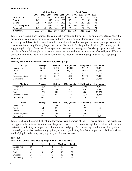**Table 1.1 (cont. )**

|                         |      |      | <b>Medium firms</b> |      |      | <b>Small firms</b> |      |      |      |       |  |
|-------------------------|------|------|---------------------|------|------|--------------------|------|------|------|-------|--|
|                         | 2005 | 2006 | 2007                | 2008 | 2009 | 2005               | 2006 | 2007 | 2008 | 2009  |  |
| Interest rate           | 928  | 643  | 1862                | 2060 | 2674 | 282                | 369  | 400  | 335  | 418   |  |
| Credit                  | 145  | 392  | 415                 | 680  | 663  | 13                 | 39   | 120  | 87   | 64    |  |
| <b>Equity</b>           | 328  | 769  | 1334                | 703  | 1366 | 52                 | 70   | 140  | 255  | 138   |  |
| <b>Currency options</b> | 700  |      | 1439                | 1392 | 2702 | 134                | 499  | 842  | 315  | 269   |  |
| <b>Commodity</b>        | 149  | 505  | 424                 | 1042 | 9691 | 82                 | 41   | 64   | 130  | 174   |  |
| <b>Total OTC</b>        | 2093 |      | 4179                | 5878 | 8374 | 433                | O.   | 1043 |      | 1063. |  |

Table 1.2 gives summary statistics for volumes by product and firm size. The summary statistics show the dispersion in volumes within size classes, and help explain some differences between the growth rates for size groups and those for the overall sample. In medium firms, for example, the mean (average) volume for currency options is significantly larger than the median and in fact larger than the third (75 percent) quartile, suggesting that high volumes at a few respondents dominate the average for that size group despite a decrease in volume for the full sample. As a general matter, variation within size groups, as reflected by the difference between median and mean, is more noticeable in the medium and small groups than in the large group.

#### **Table 1.2**

#### **Monthly event volume summary statistics, by size group**

| Large            | Average | Median | 25% Quartile | 75% Quartile | <b>Maximum</b> |
|------------------|---------|--------|--------------|--------------|----------------|
| Interest rate    | 19,881  | 18,242 | 13,831       | 26,447       | 40,078         |
| Credit           | 25,313  | 18,308 | 11,319       | 35,966       | 60,557         |
| Equity           | 7,025   | 7,443  | 3,018        | 8,575        | 23,705         |
| Currency options | 16,153  | 9,819  | 6,652        | 26,790       | 45,000         |
| Commodity        | 13,600  | 14,299 | 1,816        | 23,426       | 31,984         |
|                  |         |        |              |              |                |
| Medium           | Average | Median | 25% Quartile | 75% Quartile | <b>Maximum</b> |
| Interest rate    | 2,674   | 1,918  | 1,200        | 3,318        | 9,367          |
| Credit           | 663     | 264    | 46           | 850          | 3,160          |
| Equity           | 1,366   | 441    | 137          | 600          | 13,924         |
| Currency options | 2,702   | 939    | 310          | 2,091        | 25,474         |
| Commodity        | 969     | 170    | 67           | 730          | 10,200         |
|                  |         |        |              |              |                |
| <b>Small</b>     | Average | Median | 25% Quartile | 75% Quartile | <b>Maximum</b> |
| Interest rate    | 418     | 264    | 64           | 791          | 1,428          |
| Credit           | 64      | 23     | 3            | 77           | 400            |
| Equity           | 138     | 89     | 14           | 210          | 526            |
| Currency options | 269     | 145    | 33           | 406          | 951            |
| Commodity        | 174     | 36     | 15           | 141          | 1,262          |

Table 1.3 shows the percent of volume transacted with members of the G16 dealer group. The results are not appreciably different from those of the previous year. G16 percent is high for credit and interest rate derivatives, reflecting the importance of inter-dealer hedging. The percent is generally lower for equity and commodity derivatives and currency options, in contrast, reflecting the relative importance of client business and hedging in underlying cash, physical, and futures markets.

#### **Table 1.3 Percent of volume transacted by respondents with G16 firms**

|               | All | <b>G16</b> | Large | Medium | Small |
|---------------|-----|------------|-------|--------|-------|
| Interest rate | 59  | 49         | 52    |        |       |
| Credit        | 76  | 73         | 73    | 79     | 75    |
| Equity        | 45  | 36         | 37    | 46     | 50    |
| Currency      | 36  | 31         | 31    | 30     | 45    |
| Commodity     | 34  | 25         | 24    | 29     | 60    |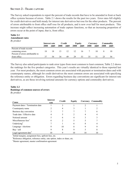# **Section 2 - Trade capture**

The Survey asked respondents to report the percent of trade records that have to be amended in front or back office systems because of errors. Table 2.1 shows the results for the past two years. Error rates fell slightly for credit derivatives and held steady for interest rate derivatives but rose for the other products. The percent of errors attributable to front office staff rose for all products, and is now over half for most products. This increase might reflect increasing automation of trade capture functions, so that an increasing proportion of errors occur at the point of input, that is, front office.

#### **Table 2.1 Amendment rates**

#### *By product*

| 7 L                               |      | Interest rate |      | Credit          |      | Equity |      | Currency |      | Commodity |
|-----------------------------------|------|---------------|------|-----------------|------|--------|------|----------|------|-----------|
|                                   | 2008 | 2009          | 2008 | 2009            | 2008 | 2009   | 2008 | 2009     | 2008 | 2009      |
| Percent of trade records          |      |               |      |                 |      |        |      |          |      |           |
| containing errors                 | 18   | 18            | 13   | 12 <sup>1</sup> | 12   | 16     |      | 10       |      | 10        |
| Percent of errors attributable to |      |               |      |                 |      |        |      |          |      |           |
| front office                      |      | 54            | 34   | 49              | 29   | 53     | 35   |          |      | 54        |

The Survey also asked participants to rank error types from most common to least common; Table 2.2 shows the rankings for the five product categories. This year's results are virtually identical to those reported last year. For most products, the most common errors are associated with payment or termination dates and with counterparty names, although for credit derivatives the most common errors are associated with specifying the reference entity or obligation. Errors regarding business day conventions are significant for interest rate derivatives, as are those involving notional amounts for currency options and commodity derivatives.

# **Table 2.2 Rankings of common sources of errors**

*By product*

| Cause                             | <b>Interest</b><br>rate | Credit | Equity | <b>Currency Commodity</b> |
|-----------------------------------|-------------------------|--------|--------|---------------------------|
| Payment dates / Termination date  |                         |        |        |                           |
| Counterparty name                 |                         |        |        |                           |
| Business day convention           |                         |        |        |                           |
| Trade date / Effective date       |                         |        |        |                           |
| Notional amount                   |                         |        |        |                           |
| Miscellaneous fees <sup>1</sup>   |                         |        |        |                           |
| Underlying <sup>2</sup>           |                         |        |        |                           |
| Language / elections              |                         | 10     |        |                           |
| Buy / sell                        |                         |        |        | 8                         |
| Legal agreement date <sup>3</sup> |                         |        |        |                           |

<sup>1</sup>Initial margins, assignment fees, upfront fees, etc.

<sup>2</sup>Reference obligation, reference entity, rate option, index or share, etc.

<sup>3</sup>Master agreement, master confirmation agreement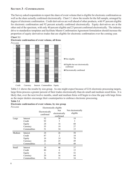# **Section 3 - Confirmations**

The Survey asked respondents to report the share of event volume that is eligible for electronic confirmation as well as the share actually confirmed electronically. Chart 3.1 show the results for the full sample, arranged by degree of electronic confirmation. Credit derivatives are well ahead of other products, with 97 percent eligible for electronic confirmation and 92 percent actually confirmed electronically. Equity derivatives are at the other end of the spectrum, with only 40 percent eligible and 23 percent confirmed electronically. The industry drive to standardize templates and facilitate Master Confirmation Agreement formulation should increase the proportion of equity derivatives trades that are eligible for electronic confirmation over the coming year.





Credit Currency Interest Commodities Equity

Table 3.1 shows the results by size group. As one might expect because of G16 electronic processing targets, large firms process a greater percent of their trades electronically than do small and medium sized firms. It is likely that, over the next twelve months, small and medium firms will begin to close the gap with large firms as the major dealers encourage their counterparties to embrace electronic processing.

#### **Table 3.1**

**Chart 3.1**

#### **Electronic confirmation of event volume, by size group**

| Percents |             |                             | Electronically eligible                   |                                |  |  |
|----------|-------------|-----------------------------|-------------------------------------------|--------------------------------|--|--|
|          |             | Electronically<br>confirmed | <b>Not</b><br>electronically<br>confirmed | Not electronically<br>eligible |  |  |
| Large    | Interest    | 52                          | 30                                        | 18                             |  |  |
|          | Credit      | 92                          | 5                                         | 3                              |  |  |
|          | Equity      | 24                          | 16                                        | 60                             |  |  |
|          | Currency    | 55                          | 19                                        | 27                             |  |  |
|          | Commodities | 51                          | 34                                        | 15                             |  |  |
| Medium   | Interest    | 24                          | 26                                        | 50                             |  |  |
|          | Credit      | 87                          | 2                                         | 10                             |  |  |
|          | Equity      | 16                          | 14                                        | 70                             |  |  |
|          | Currency    | 26                          | 25                                        | 49                             |  |  |
|          | Commodities | 2                           | 50                                        | 49                             |  |  |
| Small    | Interest    | 18                          | 46                                        | 37                             |  |  |
|          | Credit      | 80                          | 6                                         | 15                             |  |  |
|          | Equity      | 6                           | 41                                        | 52                             |  |  |
|          | Currency    | 20                          | 16                                        | 64                             |  |  |
|          | Commodities | 36                          | 31                                        | 34                             |  |  |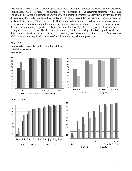*Production of confirmations.* The four parts of Chart 3.2 distinguish between electronic and non-electronic confirmations, where electronic confirmations are those submitted to an electronic platform for matching (Appendix 2). Among electronic confirmations, 68 percent of interest rate derivative confirmations are dispatched on the Trade Date and all by the day after  $(T+1)$ ; for credit derivatives, 63 percent are dispatched on Trade Date and over 90 percent by T+1. Both products show improved performance compared with last year. Among non-electronic confirmations, only about 9 percent of interest rate and 16 percent of credit derivatives are normally dispatched on Trade Date and about half by T+1, although again these numbers are an improvement on last year. The charts also show that equity derivatives lag behind other products, although those equity derivatives that are confirmed electronically have shown marked improvement from last year while non-electronic equity derivative confirmations show only slight improvement.

#### **Charts 3.2**

**Confirmations normally sent by given time, all firms** *Cumulative percentages*











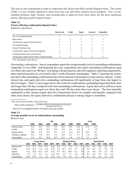The Survey asks respondents to rank by importance the factors that affect normal dispatch times. The results (Table 3.2) are virtually identical to those from last year and fairly uniform across products: New or nonstandard products, high volumes, and awaiting data or approval from front office are the most significant factors affecting normal dispatch times.

#### **Table 3.2**

#### **Factors affecting confirmation dispatch times**

*Ranked by importance*

|                                                              | Interest rate | <b>Credit</b> | Equity | Currency | Commodity |
|--------------------------------------------------------------|---------------|---------------|--------|----------|-----------|
| New or non-standard product                                  |               |               |        |          |           |
| High volumes                                                 |               |               |        |          |           |
| Awaiting data or approval from front office                  |               |               |        |          |           |
| Non-standard language                                        |               |               |        |          |           |
| Systems/Technology issues                                    |               |               |        |          |           |
| Awaiting data or approval from legal/compliance              |               |               |        |          |           |
| Awaiting data/details from external source                   |               |               |        |          |           |
| Awaiting data or approval from credit or collateral function |               |               |        |          |           |

<sup>1</sup>KYC documentation, static data, etc.

*Outstanding confirmations.* Survey respondents report the average monthly level of outstanding confirmations (Appendix 2) over 2008. And beginning this year, respondents also report outstanding confirmations aged over thirty days and over 180 days. In keeping with past practice and with regulatory reporting requirements, these reported amounts are converted to days' worth of business outstanding.<sup>1</sup> Table 3.3 presents the results, and shows that outstanding confirmations have been reduced in all products except currency options. Credit, interest rate, and equity derivative outstanding confirmations fell significantly at large firms, due largely to the G16 targets. Chart 3.3 (next page) shows the results for confirmations outstanding longer than thirty days and longer than 180 days compared with total outstanding confirmations. Equity derivatives still have more outstanding confirmations aged over thirty days and 180 days than other asset classes. The most plausible explanation is that, because equity derivative transactions tend to be complex and bespoke compared with other asset classes, the equity derivative confirmation process is taking longer to streamline.

<sup>1</sup> The conversion formula is the following:<br>Days worth of business  $=$   $\frac{(\text{Average number of outstanding configurations}) \times 22}{(\text{Average number of outstanding conditions})^2}$ 

Monthly event volume where 22 is a standard number of business days per month.

#### **Table 3.3**

#### **Average monthly levels of confirmations outstanding**

*Business days*

|                  |      |      | All  |      |      |      |      | G16  |      |
|------------------|------|------|------|------|------|------|------|------|------|
|                  | 2003 | 2004 | 2005 | 2006 | 2007 | 2008 | 2009 | 2008 | 2009 |
| Interest rates   | 9.2  | 8.9  | 9.5  | 9.3  | 0.7  | 99   | 6.8  | 11.2 | 6.9  |
| Credit           | 21.1 | 17.8 | 13.3 | 12.9 | 4.9  | 6.6  | 3.8  |      | 3.5  |
| Equity derivs    | 10.8 | 9.4  | 9.9  | 15.1 | 137  | 13.3 | 9.2  | 15.5 | 9.7  |
| Currency options | 8.2  | 7.6  | 6.2  | 5.1  | 4.8  | 2.3  | 2.7  | 1.6  | 2.6  |
| Commodity        | 9.5  | 12.1 | 10.0 | 12.5 | 6.2  | 3.0  | 2.5  | 3.1  | 2.6  |

|               |      |      | Large firms |      |      | <b>Medium firms</b> |      |      |      | <b>Small firms</b> |      |      |      |      |      |
|---------------|------|------|-------------|------|------|---------------------|------|------|------|--------------------|------|------|------|------|------|
|               | 2005 | 2006 |             | 2008 | 2009 | 2005                | 2006 | 2007 | 2008 | 2009               | 2005 | 2006 | 2007 | 2008 | 2009 |
| Interest rate | 114  | 14.1 | 139         | 10.3 | 6.8  | 6.9                 | 7.2  | 9.4  | 7.5  | 4.7                | 10.4 | 6.6  | 8.0  | 4.8  | 5.4  |
| Credit        | 23.5 | 16.2 | 5.6         | 6.4  | 3.5  | 7.8                 | 12.7 | 6.6  | 4.7  | 2.4                | 5.3  | 8.2  | 3.6  | 5.6  | 3.6  |
| Equity        | 16.7 | 24.6 | 22.6        | 139  | 9.7  | 9.7                 | 10.3 | 10.8 | 11.2 | 3.0 <sub>l</sub>   | 1.6  | 6.4  | 7.0  | 3.5  | 9.8  |
| Currency      | 5.3  | 79   | 6.1         |      | 2.6  | 12.1                | 2.3  | 7.1  | 4.4  | 1.8                | 4.2  | 4.4  | 2.3  | 6.2  | 6.4  |
| Commodity     | 20.2 | 23.3 |             | 39   | 2.4  | 4.3                 | 7.0  | 4.5  | 14   |                    | 4.1  | 6.5  | 4.1  | 41   | 29   |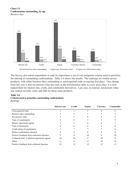#### **Chart 3.3 Confirmations outstanding, by age** *Business days*



The Survey also asked respondents to rank by importance a set of risk mitigation criteria used to prioritize the chasing of outstanding confirmations. Table 3.4 shows the results. The rankings are similar across products, with either business days outstanding or unrecognized trade occupying first place. One change from last year is that net present value has risen in the prioritization table in every asset class: it is now ranked third for interest rate, credit, and commodity derivatives. Last year, in contrast, net present value was ranked seventh, sixth, and fifth for those same products.

#### **Table 3.4**

#### **Criteria used to prioritize outstanding confirmations**

*Rankings*

|                                               | Interest rate | <b>Credit</b> | Equity | Currency | Commodity |
|-----------------------------------------------|---------------|---------------|--------|----------|-----------|
| Unrecognized trade                            |               |               |        |          |           |
| Business days outstanding                     |               |               |        |          |           |
| Net present value                             |               |               | n      |          |           |
| Type of counterparty                          |               |               |        |          |           |
| Master Agreement signed                       |               |               |        |          |           |
| Type of transaction                           |               | n             |        |          |           |
| Credit rating of counterparty                 |               |               |        |          |           |
| Broker confirmation checked                   |               |               | 8      |          | χ,        |
| Positive feedback from settlement function    |               | 8             | 10     |          | 10        |
| Collateral held / Collateral agreement signed | 10            | 10            |        | 10       | 9         |
| Other                                         | 11            | 11            | 11     | 10       | 12        |
| Positive feedback from collateral function    |               | 12            | 12     | 12       | 11        |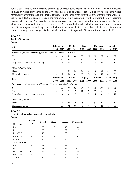*Affirmation.* Finally, an increasing percentage of respondents report that they have an affirmation process in place by which they agree on the key economic details of a trade. Table 3.5 shows the extent to which respondents affirm trades and the methods used. Among large firms, almost all now affirm in some way. For the full sample, there is an increase in the proportion of firms that routinely affirm trades; the only exception is equity derivatives. And even for equity derivatives there is an increase in the percent reporting that they affirm when contacted by the counterparty. Table 3.6 shows the times by which respondents aim to complete the affirmation process, with separate results for affirmation of electronic and of non-electronic confirmations. A notable change from last year is the virtual elimination of expected affirmation times beyond T+10.

## **Table 3.5 Trade affirmation**

*Percents*

| All                                                                         | Interest rate |                  | <b>Credit</b>    |                  | <b>Equity</b> |                  | Currency |                  | <b>Commodity</b> |           |
|-----------------------------------------------------------------------------|---------------|------------------|------------------|------------------|---------------|------------------|----------|------------------|------------------|-----------|
|                                                                             |               | 2009             | 2008             | 2009             | 2008          | 2009             | 2008     | 2009             | 2008             | 2009      |
| Respondent performs separate affirmation of key economic details of a trade |               |                  |                  |                  |               |                  |          |                  |                  |           |
| Yes                                                                         | 54            | 64               | 51               | 64               | 55            | 55               | 58       | 69               | 48               | 52        |
| No                                                                          | 18            | 13               | 30               | 18               | 26            | 18               | 19       | 10               | 27               | 16        |
| Only when contacted by counterparty                                         | 28            | 23               | 20               | 18               | 19            | 27               | 23       | 22               | 25               | 32        |
| Method of affirmation                                                       |               |                  |                  |                  |               |                  |          |                  |                  |           |
| Phone                                                                       | 40            | 38               | 37               | 35               | 32            | 21               | 46       | 51               | 54               | 45        |
| Electronic message                                                          | 60            | 62               | 63               | 65               | 68            | 79               | 54       | 49               | 46               | 55        |
|                                                                             | Interest rate |                  |                  |                  |               |                  |          |                  |                  |           |
|                                                                             |               |                  | <b>Credit</b>    |                  | <b>Equity</b> |                  | Currency |                  |                  | Commodity |
| Large                                                                       | 2008          | 2009             | 2008             | 2009             | 2008          | 2009             | 2008     | 2009             | 2008             | 2009      |
| Respondent performs separate affirmation of key economic details of a trade |               |                  |                  |                  |               |                  |          |                  |                  |           |
| Yes                                                                         | 82            | 93               | 79               | 93               | 84            | 93               | 78       | 100              | 82               | 75        |
| No                                                                          | 12            | 7                | 21               | 7                | 11            | 7                | 17       | $\mathbf{0}$     | 12               | 6         |
| Only when contacted by counterparty                                         | 6             | $\boldsymbol{0}$ | $\boldsymbol{0}$ | $\boldsymbol{0}$ | 5             | $\boldsymbol{0}$ | 6        | $\boldsymbol{0}$ | 6                | 19        |
| Method of affirmation                                                       |               |                  |                  |                  |               |                  |          |                  |                  |           |
| Phone                                                                       | 28            | 21               | 28               | 20               | 25            | 16               | 57       | 59               | 57               | 50        |

#### **Table 3.6**

#### **Expected affirmation times, all respondents**

*Percents*

|                       | <b>Interest</b> | <b>Credit</b> | <b>Equity</b>    |    | <b>Currency Commodity</b> |  |
|-----------------------|-----------------|---------------|------------------|----|---------------------------|--|
| Electronic            | rate            |               |                  |    |                           |  |
| $T+0$                 | 33              | 28            | 8                | 40 | 14                        |  |
| $T+1$                 | 37              | 28            | 50               | 32 | 57                        |  |
| $T+2 - T+5$           | 26              | 45            | 38               | 20 | 21                        |  |
| $T+6 - T+10$          | $\overline{4}$  | $\theta$      | 4                | 8  | 7                         |  |
| $> T+10$              | $\theta$        | $\theta$      | $\boldsymbol{0}$ | 0  | 0                         |  |
| <b>Non-Electronic</b> |                 |               |                  |    |                           |  |
| $T+0$                 | 7               | 11            | $\theta$         | 17 | $\Omega$                  |  |
| $T+1$                 | 21              | 18            | 20               | 37 | 43                        |  |
| $T+2 - T+5$           | 65              | 66            | 77               | 40 | 39                        |  |
| $T+6 - T+10$          | 7               | 5             | 3                | 6  | 14                        |  |
| $> T+10$              | 0               | 0             | 0                | 0  | 4                         |  |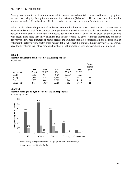## **Section 4 - Settlements**

Average monthly settlement volumes increased for interest rate and credit derivatives and for currency options, and decreased slightly for equity and commodity derivatives (Table 4.1). The increase in settlements for interest rate and credit derivatives is likely related to the increase in volumes for the two products.

Table 4.1 also shows the percent of settlement volume that involves nostro breaks, that is, mismatches of expected and actual cash flows between paying and receiving institutions. Equity derivatives show the highest percent of nostro breaks, followed by commodity derivatives. Chart 4.1 shows nostro breaks by product along with breaks aged more than thirty calendar days and more than 180 days. Although interest rate and credit derivatives show high numbers of nostro breaks, the numbers should be considered in the context of high volumes; the relatively low nostro break rates in Table 4.1 reflect this context. Equity derivatives, in contrast, have lower volumes than other products but show a high number of nostro breaks, both total and aged.

#### **Table 4.1 Monthly settlements and nostro breaks, all respondents** *By product*

|               | 2005   | 2006   | 2007   | 2008   | 2009   | <b>Nostro</b><br><b>breaks</b><br>$\frac{6}{6}$ |
|---------------|--------|--------|--------|--------|--------|-------------------------------------------------|
| Interest rate | 12,826 | 12,183 | 15,341 | 25,017 | 29,389 | 9                                               |
| Credit        | 4,960  | 9,641  | 18,450 | 37,669 | 44,327 | 6                                               |
| Equity        | 1,139  | 2,797  | 3,421  | 6,771  | 6,648  | 15                                              |
| Currency      | 3,983  | 3,643  | 7,752  | 3,246  | 4,226  | 6                                               |
| Commodity     | 641    | 1.920  | 3,623  | 5,182  | 5,039  | 11                                              |

# **Chart 4.1 Monthly average and aged nostro breaks, all respondents**



Total montly average nostro breaks  $\blacksquare$  Aged greater than 30 calendar days

Aged greater than 180 calendar days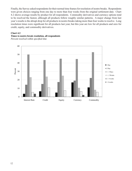Finally, the Survey asked respondents for their normal time frames for resolution of nostro breaks. Respondents were given choices ranging from one day to more than four weeks from the original settlement date. Chart 4.2 shows average results by product for all respondents. Commodity derivatives and currency options tend to be resolved the fastest, although all products follow roughly similar patterns. A major change from last year's results is the abrupt drop for all products in nostro breaks taking more than four weeks to resolve. Long resolution times were significant for all products last year, but this year are low for all products and zero for credit, equity, and commodity derivatives.

#### **Chart 4.2**



*Percent resolved within specified time*

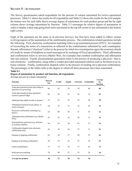# **Section 5 - Automation**

The Survey questionnaire asked respondents for the percent of volume automated for twelve operational processes. Table 5.1 shows the results for all respondents and Table 5.2 shows the results for the G16 sample; the bottom row for each table shows average degree of automation for each product group and the far right column shows average automation by function. Table 5.3 rearranges by relative degree of automation in order to display a heat map going from more automated in the top left corner to less automated in the bottom right corner.

Eight of the questions are the same as in previous Surveys, but four have been added to reflect various evolving aspects of the automation of the confirmation process. The confirmation-related questions include the following. First, electronic confirmation matching refers to an automated process (DTCC, for example) of reconciling the terms of a transaction as reflected in the confirmations submitted by each counterparty. Second, affirmation ("checkout") refers to the process by which two counterparties agree the economic details of a trade by means of telephone or email messages or by exchange of Excel spreadsheets. Third, affirmation and confirmation refers to services (Markit Wire, for example) that combine confirmation and affirmation into one solution. Fourth, documentation generation refers to the process of producing a physical—that is, non-electronic—confirmation, using either a vendor-provided automated solution such as Scrittura or an inhouse solution. Finally, confirmation dispatch refers to the process of sending out a physical confirmation. The percentages in the tables refer to the degree to which all these processes have been automated. **Table 5.1**

## **Degree of automation by product and function, all respondents**

*Average percent of volume automated*

| <b>Function</b>                                                          | <b>Interest</b><br>rate | <b>Credit</b> | <b>Equity</b> | Currency | Commodity | Average<br>for<br>function |
|--------------------------------------------------------------------------|-------------------------|---------------|---------------|----------|-----------|----------------------------|
| Trade data transferred from front office to<br>operations for processing | 84                      | 81            | 79            | 78       | 80        | 80                         |
| Trade data transferred from operations<br>system to general ledger       | 86                      | 83            | 81            | 82       | 74        | 81                         |
| Additional data added in order to process <sup>1</sup>                   | 25                      | 61            | 53            | 53       | 60        | 50                         |
| Affirmation/checkout (Excel, phone, or<br>email exchange)                | 24                      | 24            | 31            | 22       | 25        | 25                         |
| Electronic confirmation matching (e.g.<br>DTCC)                          | 22                      | 88            | 45            | 31       | 24        | 42                         |
| Affirmation and confirmation (e.g. Markit<br>Wire)                       | 25                      | 22            | 16            | 20       | 12        | 19                         |
| Documentation generation (e.g. Scrittura<br>or in-house solution)        | 64                      | 43            | 39            | 63       | 57        | 53                         |
| Confirmation dispatch (non-electronic<br>confirmation only)              | 59                      | 45            | 42            | 57       | 57        | 52                         |
| Imaging of outgoing confirmation                                         | 62                      | 65            | 57            | 68       | 67        | 64                         |
| Imaging of incoming confirmation                                         | 49                      | 53            | 52            | 57       | 59        | 54                         |
| Nostro reconciliation                                                    | 75                      | 73            | 76            | 73       | 65        | 72                         |
| Settlement pre-matching                                                  | 29                      | 49            | 27            | 23       | 24        | 30                         |
| Average for product                                                      | 50                      | 57            | 50            | 52       | 50        |                            |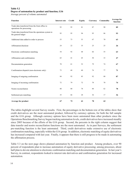## **Table 5.2 Degree of automation by product and function, G16**

*Average percent of volume automated*

| <b>Function</b>                                                              | <b>Interest rate</b> | Credit | <b>Equity</b> | Currency | <b>Commodity</b> | <b>Average for</b><br>function |
|------------------------------------------------------------------------------|----------------------|--------|---------------|----------|------------------|--------------------------------|
| Trade data transferred from the front office to<br>operations for processing | 93                   | 95     | 81            | 87       | 90               | 89                             |
| Trade data transferred from the operations system to<br>the general ledger   | 95                   | 95     | 94            | 95       | 86               | 93                             |
| Additional data added in order to process                                    | 53                   | 73     | 53            | 67       | 70               | 63                             |
| Affirmation/checkout                                                         | 24                   | 22     | 35            | 25       | 25               | 26                             |
| Electronic confirmation matching                                             | 54                   | 92     | 48            | 66       | 55               | 63                             |
| Affirmation and confirmation                                                 | 65                   | 41     | 45            | 50       | 33               | 47                             |
| Documentation generation                                                     | 70                   | 61     | 52            | 79       | 74               | 67                             |
| Confirmation dispatch (non-electronic only)                                  | 73                   | 68     | 60            | 76       | 77               | 71                             |
| Imaging of outgoing confirmation                                             | 84                   | 92     | 85            | 92       | 80               | 87                             |
| Imaging of incoming confirmation                                             | 72                   | 79     | 72            | 78       | 70               | 74                             |
| Nostro reconciliation                                                        | 80                   | 80     | 78            | 88       | 62               | 78                             |
| Settlement pre-matching                                                      | 35                   | 66     | 28            | 36       | 17               | 36                             |
| Average for product                                                          | 67                   | 72     | 61            | 70       | 62               |                                |

The tables highlight several Survey results. First, the percentages in the bottom row of the tables show that credit derivatives are the most automated product, followed by currency options, for both the full sample and the G16 group. Although currency options have been more automated than other products since the Operations Benchmarking Survey began tracking automation levels, credit derivatives have increased steadily since 2005 because of the efforts of the G16 group. Second, the percents in the right column suggest that data transfer and nostro reconciliation functions are the most automated. As in past Surveys, the settlement pre-matching function is the least automated. Third, credit derivatives make extensive use of electronic confirmation matching, especially within the G16 group. In addition, electronic matching of equity derivatives has increased compared with last year. Finally, it appears that there is still progress to be made in automating the affirmation process.

Table 5.3 on the next page shows planned automation by function and product. Among products, over 90 percent of respondents plan to increase automation of equity derivative processing; among processes, about half plan to devote attention to electronic confirmation matching and documentation generation. In last year's Survey, in contrast, respondents looked to interest rate derivatives and confirmation generation for increased automation.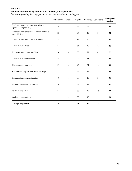## **Table 5.3 Planned automation by product and function, all respondents**

*Percent responding that they plan to increase automation in coming year*

|                                                                          | Interest rate | <b>Credit</b> | <b>Equity</b> |    | <b>Currency Commodity</b> | Average for<br>function |
|--------------------------------------------------------------------------|---------------|---------------|---------------|----|---------------------------|-------------------------|
| Trade data transferred from front office to<br>operations for processing | 39            | 24            | 95            | 24 | 31                        | 43                      |
| Trade data transferred from operations system to<br>general ledger       | 22            | 15            | 94            | 19 | 21                        | 34                      |
| Additional data added in order to process                                | 19            | 19            | 94            | 25 | 25                        | 37                      |
| Affirmation/checkout                                                     | 21            | 18            | 85            | 10 | 23                        | 31                      |
| Electronic confirmation matching                                         | 54            | 42            | 93            | 27 | 42                        | 52                      |
| Affirmation and confirmation                                             | 55            | 24            | 92            | 15 | 27                        | 43                      |
| Documentation generation                                                 | 39            | 27            | 96            | 31 | 46                        | 48                      |
| Confirmation dispatch (non-electronic only)                              | 27            | 24            | 94            | 15 | 38                        | 40                      |
| Imaging of outgoing confirmation                                         | 19            | 13            | 89            | 15 | 21                        | 31                      |
| Imaging of incoming confirmation                                         | 16            | 15            | 89            | 17 | 23                        | 32                      |
| Nostro reconciliation                                                    | 24            | 24            | 88            | 17 | 19                        | 34                      |
| Settlement pre-matching                                                  | 21            | 26            | 80            | 10 | 15                        | 30                      |
| Average for product                                                      | 30            | 23            | 91            | 19 | $\bf 27$                  |                         |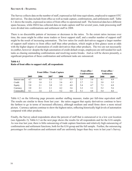# **Section 6 - Staffing**

The Survey collects data on the number of staff, expressed as full-time equivalents, employed to support OTC derivatives. The data include front office as well as trade capture, confirmations, and settlements staff. Table 6.1 shows the results, expressed as ratios of front office to operational staff. The historical data have different spans because, while ISDA has collected data on trade capture staff for several years, trade processing staff were divided into confirmations and settlement staff in 2008.

There is no discernible pattern of increases or decreases in the ratios. To the extent ratios increase over time, the cause might be either more traders or fewer support staff, and a smaller number of support staff might be the result of increasing automation. The low ratios for credit derivatives suggest a larger number of support staff relative to front office staff than other products, which might at first glance seem at odds with the higher degree of automation of credit derivatives than other products. The two are not necessarily in conflict, however: despite the high automation of credit default swaps, employees are still needed for such tasks as chasing outstanding confirmations and resolving nostro breaks. And as will be shown presently, a significant proportion of these confirmation and settlement tasks are outsourced.

|               | <b>Front Office / Trade Capture</b> |      |      |      |      | <b>Front office</b> / | <b>Confirmations</b> |      | <b>Front office</b> /<br><b>Settlements</b> |
|---------------|-------------------------------------|------|------|------|------|-----------------------|----------------------|------|---------------------------------------------|
|               | 2005                                | 2006 | 2007 | 2008 | 2009 | 2008                  | 2009                 | 2008 | 2009                                        |
| Interest rate | 4.7                                 | 4.8  | 3.8  | 5.3  | 5.5  | 3.5                   | 3.6                  | 4.1  | 4.9                                         |
| Credit        | 2.9                                 | 1.6  | 2.1  | 3.6  | 4.3  | 2.7                   | 3.1                  | 3.8  | 3.5                                         |
| Equity        | 5.0                                 | 2.1  | 3.0  | 3.5  | 4.8  | 5.4                   | 4.7                  | 7.3  | 6.8                                         |
| Currency      | 3.0                                 | 2.1  | 2.1  | 4.2  | 3.6  | 3.2                   | 3.1                  | 5.2  | 5.6                                         |
| Commodity     | 8.1                                 | 1.6  | 2.3  | 5.2  | 6.8  | 5.1                   | 4.8                  | 5.4  | 4.6                                         |

## **Table 6.1 Ratio of front office to support staff, all respondents**

Table 6.2 on the following page presents another staffing measure, trades per full-time equivalent staff. The results are similar to those from last year: the ratios suggest that equity derivatives continue to have the farthest to go in terms of increased efficiency, although medium and small firms show a more mixed picture. Currency options continue to show the highest ratios, reflecting historically high levels of automation compared with other products.

Finally, the Survey asked respondents about the percent of staff that is outsourced or in a low cost location (see Appendix 2); Table 6.3 on the next page shows the results for all respondents and for the G16 sample. As was true last year, there is little outsourcing of trade capture functions and relatively high outsourcing of confirmations and settlement functions, both for the G16 group and the full sample. Further, the outsourcing percentages for confirmation and settlement staff are uniformly larger than they were in last year's Survey.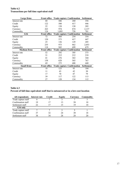## **Table 6.2 Transactions per full time equivalent staff**

| Large firms         |                     | Front office Trade capture Confirmation |     | <b>Settlement</b> |
|---------------------|---------------------|-----------------------------------------|-----|-------------------|
| Interest rate       | 68                  | 446                                     | 260 | 356               |
| Credit              | 122                 | 580                                     | 417 | 446               |
| Equity              | 22                  | 138                                     | 130 | 205               |
| Currency            | 263                 | 974                                     | 874 | 2,137             |
| Commodity           | 124                 | 1,095                                   | 728 | 701               |
| <b>G16</b>          | <b>Front office</b> | <b>Trade capture Confirmation</b>       |     | <b>Settlement</b> |
| Interest rate       | 72                  | 460                                     | 254 | 354               |
| Credit              | 120                 | 573                                     | 417 | 447               |
| Equity              | 25                  | 136                                     | 129 | 205               |
| Currency            | 255                 | 975                                     | 862 | 2,053             |
| Commodity           | 118                 | 943                                     | 699 | 679               |
|                     |                     |                                         |     |                   |
| <b>Medium firms</b> | <b>Front office</b> | <b>Trade capture Confirmation</b>       |     | <b>Settlement</b> |
| Interest rate       | 52                  | 292                                     | 305 | 375               |
| Credit              | 31                  | 212                                     | 212 | 218               |
| Equity              | 41                  | 276                                     | 363 | 344               |
| Currency            | 158                 | 628                                     | 565 | 767               |
| Commodity           | 69                  | 275                                     | 408 | 440               |
| <b>Small firms</b>  | <b>Front office</b> | <b>Trade capture Confirmation</b>       |     | <b>Settlement</b> |
| Interest rate       | 18                  | 125                                     | 93  | 104               |
| Credit              | 11                  | 43                                      | 42  | 30                |
| Equity              | 17                  | 70                                      | 87  | 79                |
| Currency            | 39                  | 117                                     | 122 | 113               |

# **Table 6.3**

# **Percent of full time equivalent staff that is outsourced or in a low-cost location**

| All respondents     | Interest rate | <b>Credit</b> | Equity | Currency | Commodity |
|---------------------|---------------|---------------|--------|----------|-----------|
| Trade capture staff |               |               |        |          |           |
| Confirmation staff  | 19            |               |        | 20       |           |
| Settlement staff    |               |               |        | ١q       |           |
| G16 only            |               |               |        |          |           |
| Trade capture staff |               |               |        |          |           |
| Confirmation staff  | 37            | 32            | 24     | 30       | 18        |
| Settlement staff    | 38            | 34            | 28     | 28       |           |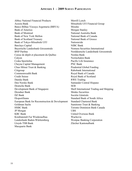## **Appendix 1 – 2009 Survey Participants**

Abbey National Financial Products Merrill Lynch Aozora Bank Mitsubishi UFJ Financial Group Banco Bilbao Vizcaya Argentaria (BBVA) Mizuho Bank of America Morgan Stanley Bank of Montreal National Australia Bank Bank of New York Mellon National Bank of Canada Bank of Scotland Treasury National Bank of Greece Bank of Tokyo-Mitsubishi UFJ Nationwide Barclays Capital NIBC Bank Bayerische Landesbank Girozentrale Nomura Securities International BNP Paribas Norddeutsche Landesbank Girozentrale Caisse de dépôt et placement du Québec Nordea Bank Calyon Norinchukin Bank Ceska Sporitelna Pacific Life Insurance Cheyne Capital Management PNC Bank Chuo Mitsui Trust & Banking Prudential Global Funding Citigroup Rabobank International Commonwealth Bank Royal Bank of Canada Credit Suisse Royal Bank of Scotland Danske Bank RWE Trading Den Norske Bank Santander Central Hispano Deutsche Bank SEB Development Bank of Singapore Shell International Trading and Shipping Dresdner Bank Shinko Securities DZ Bank Sociéte Générale Eksportfinans Standard Bank of South Africa European Bank for Reconstruction & Development Standard Chartered Bank Goldman Sachs Sumitomo Trust & Banking HSBC Bank Toronto Dominion Bank Canada JP Morgan UBS KBC Bank United Overseas Bank Kreditanstalt Fur Wiederaufbau Wachovia Landesbank Baden-Württemberg Westpac Banking Corporation Lloyds TSB Bank Zürcher Kantonalbank Macquarie Bank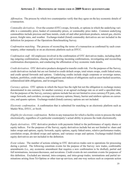# **Appendix 2 – Definitions of terms used in 2009 Survey questionnaire**

*Affirmation*. The process by which two counterparties verify that they agree on the key economic details of a transaction.

*Commodity derivatives*. Over-the-counter (OTC) swaps, forwards, or options in which the underlying variable is a commodity price, basket of commodity prices, or commodity price index. Common underlying commodities include precious and base metals, crude oil and other petroleum products, natural gas, electric power, freight rates, and weather. Exchange-traded (listed) commodity derivatives are not included in the definition for purposes of the Operations Benchmarking Survey.

*Confirmation matching*. The process of reconciling the terms of a transaction as confirmed by each counterparty, either manually or on an electronic platform such as DTCC.

*Confirmation staff*. All employees involved in the confirmation of OTC derivatives trades, including drafting outgoing confirmations, chasing and reviewing incoming confirmations, investigating and reconciling confirmation discrepancies, and conducting the affirmation of key economic trade details.

*Credit derivatives*. OTC derivative products designed to transfer credit risk. For the purposes of the Survey, credit derivatives include but are not limited to credit default swaps, total return swaps, credit linked notes, and credit spread forwards and options. Underlying credits include single corporate or sovereign names, baskets, portfolios, credit indices, and obligations and indices of obligations such as asset backed securities, collateralized debt obligations, and leveraged loans.

*Currency options*. OTC options in which the buyer has the right but not the obligation to exchange money denominated in one currency for another currency at an agreed exchange rate on or until a specified date. For the purposes of the Survey, currency options include but are not limited to cross currency/FX puts, calls, range forwards, and corridors; average rate currency options; binary, barrier and rainbow options on currencies, and quanto options. Exchange-traded (listed) currency options are not included.

*Electronic confirmation*. A confirmation that is submitted for matching to an electronic platform such as Markit Wire, DTCC, or Swift.

*Eligible for electronic confirmation*. Refers to any transaction for which a facility exists to process the trade electronically, regardless of a particular counterparty's actual ability to process the trade electronically.

*Equity derivatives*. OTC derivative products with payments linked to the performance of equity shares or equity indices. For the purposes of the Survey, equity derivatives include but are not limited to: share and index swaps and options, equity forwards, equity options, equity linked notes, relative performance trades, correlation swaps, dividend swaps and options, and variance swaps and options. Exchange-traded (listed) equity derivatives are not included in the definition.

*Event volume*. The number of actions relating to OTC derivatives trades sent to operations for processing during a period. The following constitute events for the purpose of the Survey: new trades, confirmable amendments (i.e., any economic amendment that requires a new confirmation to be drafted), partial and full terminations, increases/decreases, and novations. Credit events do not constitute events for purposes of this definition. Excluded are internal, intra-company, and intra-group trades; terminations and partial terminations arising from Tri-Optima or other tear-up services; and one-way notices such as corporate action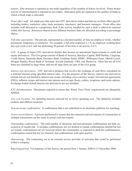notices. One structure is reported as one trade regardless of the number of tickets involved. Prime broker activity or intermediation is reported as two trades. Allocation splits are reported as the number of funds to which a block trade is allocated.

*Front office staff*. All employees that enter into OTC derivatives trades and that are on front office payroll, including traders, marketers, sales, trade assistants, structurers, and business managers. Front office also includes staff allocated to a proprietary desk if the activity handled by such a desk is otherwise reported within this Survey. Resources shared across different business lines are allocated according to percentage shares.

*Full-time equivalents*. The percent, represented as a decimal number, of time an employee works, whether permanent, temporary, or contractor. For example, a full-time employee is 1.0, an employee working three days per week is 0.6, and one dedicating 50 percent of his time to an activity is 0.5.

*G16*. A group of major OTC derivatives dealers that focuses on operational improvements in credit and equity derivatives. The G16 group consists of Bank of America, Barclays Capital, BNP Paribas, Citigroup, Credit Suisse, Deutsche Bank, Dresdner Bank, Goldman Sachs, HSBC, JPMorgan Chase, Merrill Lynch, Morgan Stanley, Royal Bank of Scotland, Société Générale, UBS, and Wachovia. Most but not all G16 firms are classified as large firms, and not all large firms are part of the G16 group.

*Interest rate derivatives*. OTC derivative products that involve the exchange of cash flows calculated on a notional amount using specified interest rates. For the purposes of the Survey, interest rate derivatives include but are not limited to interest rate swaps, including cross-currency swaps; forward rate agreements (FRA); inflation swaps; and interest rate options such as caps, floors, collars, swaptions, and exotic options. Exchange-traded (listed) interest rate derivatives are not included.

*KYC documentation*. Documents required to ensure that 'Know Your Client' requirements are adequately fulfilled.

*Low cost location*. An operating location selected for its lower operating cost. The definition includes onshore and offshore locations.

*Non-electronic confirmation*. A confirmation that is not submitted to an electronic platform for matching.

*Nostro reconciliation*. A process performed to ensure that the expected cash movements of a transaction or multiple transactions are the same as actual cash movements.

*Outstanding confirmations*. The total number of electronic and non-electronic confirmations not fully executed as of month end. It includes confirmations not yet drafted or issued, confirmations drafted but not yet issued, confirmations not yet received (where the counterparty is expected to draft the confirmations), confirmations issued but not yet returned, and confirmations with open queries.

*Outsourcing*. The contracting out to an external service provider of activities that could be performed within a company.

*Reporting period*. For purposes of this Survey, the period from 1 January 2008 to 31 December 2008.